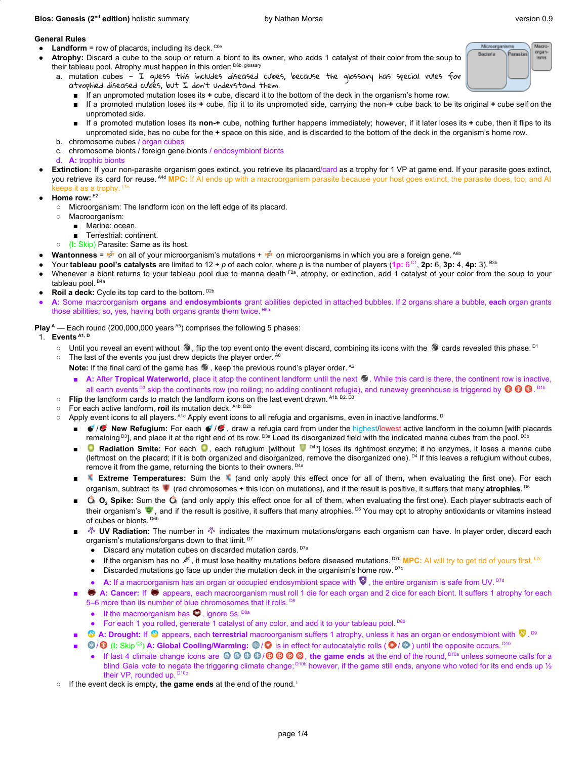### **Bios: Genesis (2<sup>nd</sup> edition)** holistic summary by Nathan Morse version 0.9

Macro organ<br>Isms

Microo

**Back** 

# **General Rules**

- $\bullet$  **Landform** = row of placards, including its deck. <sup>C0e</sup>
- Atrophy: Discard a cube to the soup or return a biont to its owner, who adds 1 catalyst of their color from the soup to their tableau pool. Atrophy must happen in this order: <sup>D6b, glossary</sup>
	- a. mutation cubes  $-$  I quess this includes diseased cubes, because the glossary has special rules for atrophied diseased cubes, but I don't understand them.
		- If an unpromoted mutation loses its  $+$  cube, discard it to the bottom of the deck in the organism's home row.
		- If a promoted mutation loses its **+** cube, flip it to its unpromoted side, carrying the non-**+** cube back to be its original **+** cube self on the unpromoted side.
		- If a promoted mutation loses its non-+ cube, nothing further happens immediately; however, if it later loses its + cube, then it flips to its unpromoted side, has no cube for the **+** space on this side, and is discarded to the bottom of the deck in the organism's home row.
	- b. chromosome cubes / organ cubes
	- c. chromosome bionts / foreign gene bionts / endosymbiont bionts
	- d. **A:** trophic bionts
- Extinction: If your non-parasite organism goes extinct, you retrieve its placard/card as a trophy for 1 VP at game end. If your parasite goes extinct, you retrieve its card for reuse. <sup>A4d</sup> MPC: If AI ends up with a macroorganism parasite because your host goes extinct, the parasite does, too, and AI keeps it as a trophy. L<sub>7e</sub>
- **Home row:** E2
	- Microorganism: The landform icon on the left edge of its placard.
	- Macroorganism:
		- Marine: ocean.
		- Terrestrial: continent.
	- (**I:** Skip) Parasite: Same as its host.
- **Wantonness** =  $\frac{M^{20}}{100}$  on all of your microorganism's mutations +  $\frac{M^{20}}{100}$  on microorganisms in which you are a foreign gene. <sup>A6b</sup>
- Your **tableau pool's catalysts** are limited to 12 ÷ p of each color, where p is the number of players (1p:  $6^{\circ1}$ , 2p: 6, 3p: 4, 4p: 3). <sup>B3b</sup>
- Whenever a biont returns to your tableau pool due to manna death <sup>F2a</sup>, atrophy, or extinction, add 1 catalyst of your color from the soup to your tableau pool. <sup>B4a</sup>
- **Roil a deck:** Cycle its top card to the bottom. D2b
- **A:** Some macroorganism **organs** and **endosymbionts** grant abilities depicted in attached bubbles. If 2 organs share a bubble, **each** organ grants those abilities; so, yes, having both organs grants them twice. H5a

**Play**<sup>4</sup> — Each round (200,000,000 years<sup>A5</sup>) comprises the following 5 phases:

# 1. **Events A1, D**

- Until you reveal an event without <sup>●</sup>, flip the top event onto the event discard, combining its icons with the cards revealed this phase. <sup>D1</sup>
- $\circ$  The last of the events you just drew depicts the player order.  $^{A6}$

Note: If the final card of the game has <sup>®</sup>, keep the previous round's player order. <sup>A6</sup>

- A: After **Tropical Waterworld**, place it atop the continent landform until the next  $\mathscr{F}$ . While this card is there, the continent row is inactive, all earth events <sup>ps</sup> skip the continents row (no roiling; no adding continent refugia), and runaway greenhouse is triggered by <sup>©</sup> © . <sup>prb</sup>
- **Flip** the landform cards to match the landform icons on the last event drawn. Atb, D2, D3
- For each active landform, **roil** its mutation deck. A1b, D2b
- $\circ$  Apply event icons to all players. <sup>Atc</sup> Apply event icons to all refugia and organisms, even in inactive landforms. <sup>D</sup>
	- / **Mew Refugium:** For each / , draw a refugia card from under the highest/lowest active landform in the column [with placards remaining <sup>D3</sup>], and place it at the right end of its row. <sup>D3a</sup> Load its disorganized field with the indicated manna cubes from the pool. <sup>D3b</sup>
	- **C** Radiation Smite: For each C, each refugium [without <sup>© p4b</sup>] loses its rightmost enzyme; if no enzymes, it loses a manna cube (leftmost on the placard; if it is both organized and disorganized, remove the disorganized one).<sup>D4</sup> If this leaves a refugium without cubes, remove it from the game, returning the bionts to their owners. <sup>D4a</sup>
	- **K** Extreme Temperatures: Sum the K (and only apply this effect once for all of them, when evaluating the first one). For each organism, subtract its **C** (red chromosomes + this icon on mutations), and if the result is positive, it suffers that many atrophies. <sup>D5</sup>
	- $\ddot{\mathbf{C}}_2$  **<b>O**, Spike: Sum the  $\ddot{\mathbf{C}}_2$  (and only apply this effect once for all of them, when evaluating the first one). Each player subtracts each of their organism's  $\bullet$ , and if the result is positive, it suffers that many atrophies. <sup>D6</sup> You may opt to atrophy antioxidants or vitamins instead of cubes or bionts. D6b
	- **<sup>4</sup> UV Radiation:** The number in  $\mathbb{A}$  indicates the maximum mutations/organs each organism can have. In player order, discard each organism's mutations/organs down to that limit.<sup>D7</sup>
		- Discard any mutation cubes on discarded mutation cards. D7a
		- If the organism has no <sup>it</sup>, it must lose healthy mutations before diseased mutations. <sup>D7b</sup> MPC: AI will try to get rid of yours first. <sup>L7c</sup>
		- Discarded mutations go face up under the mutation deck in the organism's home row.  $^{D7c}$
		- A: If a macroorganism has an organ or occupied endosymbiont space with ♥, the entire organism is safe from UV.<sup>D7d</sup>
	- **A: Cancer:** If appears, each macroorganism must roll 1 die for each organ and 2 dice for each biont. It suffers 1 atrophy for each 5-6 more than its number of blue chromosomes that it rolls.<sup>D8</sup>
		- If the macroorganism has  $\bullet$ , ignore 5s. D8a
		- For each 1 you rolled, generate 1 catalyst of any color, and add it to your tableau pool. <sup>D8b</sup>
	- **A: Drought:** If <sup>@</sup> appears, each terrestrial macroorganism suffers 1 atrophy, unless it has an organ or endosymbiont with <sup>79</sup>.<sup>[9]</sup>
	- <sup>◎</sup> / <sup>◎</sup> (I: Skip <sup>cs</sup>) A: Global Cooling/Warming: ◎ / ◎ is in effect for autocatalytic rolls ( ◎ / ◎ ) until the opposite occurs. <sup>D10</sup>
		- If last 4 climate change icons are © © © / © © / © © ©, the game ends at the end of the round, <sup>D10a</sup> unless someone calls for a blind Gaia vote to negate the triggering climate change; <sup>D10b</sup> however, if the game still ends, anyone who voted for its end ends up 1/2 their VP, rounded up. D10c
- If the event deck is empty, **the game ends** at the end of the round. I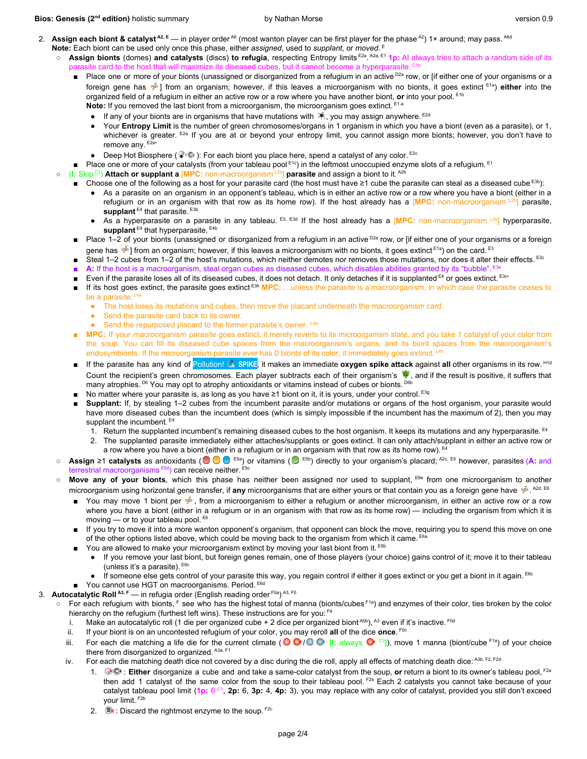### **Bios: Genesis (2<sup>nd</sup> edition)** holistic summary by Nathan Morse version 0.9

- 2. Assign each biont & catalyst<sup>A2, E</sup> in player order<sup>A6</sup> (most wanton player can be first player for the phase<sup>A2</sup>) 1× around; may pass. <sup>A6d</sup> **Note:** Each biont can be used only once this phase, either *assigned*, used to *supplant*, or *moved*. E
	- Assign bionts (domes) and catalysts (discs) to refugia, respecting Entropy limits E<sup>2a</sup>. A<sup>2a, E1</sup> 1p: AI always tries to attach a random side of its parasite card to the host that will maximize its diseased cubes, but it cannot become a hyperparasite. <sup>C1b</sup>
		- Place one or more of your bionts (unassigned or disorganized from a refugium in an active <sup>D2a</sup> row, or [if either one of your organisms or a foreign gene has  $\frac{1}{2}$  from an organism; however, if this leaves a microorganism with no bionts, it goes extinct E<sup>1a</sup>) either into the organized field of a refugium in either an active row or a row where you have another biont, **or** into your pool. E1b Note: If you removed the last biont from a microorganism, the microorganism goes extinct. E<sup>1.a</sup>
			- **•** If any of your bionts are in organisms that have mutations with  $\ddot{*}$ , you may assign anywhere. <sup>E2d</sup>
			- Your Entropy Limit is the number of green chromosomes/organs in 1 organism in which you have a biont (even as a parasite), or 1, whichever is greater. E2a If you are at or beyond your entropy limit, you cannot assign more bionts; however, you don't have to remove any. E2a·
			- Deep Hot Biosphere ( $\blacktriangledown$ :  $\heartsuit$ ): For each biont you place here, spend a catalyst of any color. <sup>E2c</sup>
		- Place one or more of your catalysts (from your tableau pool E<sup>1c</sup>) in the leftmost unoccupied enzyme slots of a refugium. E<sup>1</sup>
	- (I: Skip <sup>C3</sup>) **Attach or supplant a [MPC:** non-macroorganism <sup>L2b</sup>] **parasite** and assign a biont to it. <sup>A2b</sup>
		- Choose one of the following as a host for your parasite card (the host must have ≥1 cube the parasite can steal as a diseased cube <sup>E3b</sup>):
			- As a parasite on an organism in an opponent's tableau, which is in either an active row or a row where you have a biont (either in a refugium or in an organism with that row as its home row). If the host already has a [MPC: non-macroorganism [2b] parasite, supplant<sup>E4</sup> that parasite.<sup>E3b</sup>
			- As a hyperparasite on a parasite in any tableau. E3, E<sup>3d</sup> If the host already has a [MPC: non-macroorganism [2b] hyperparasite, supplant<sup>E4</sup> that hyperparasite.<sup>E4b</sup>
		- Place 1–2 of your bionts (unassigned or disorganized from a refugium in an active <sup>D2a</sup> row, or [if either one of your organisms or a foreign gene has ﷺ I from an organism; however, if this leaves a microorganism with no bionts, it goes extinct <sup>E1a</sup>) on the card. <sup>E3</sup>
		- Steal 1–2 cubes from 1–2 of the host's mutations, which neither demotes nor removes those mutations, nor does it alter their effects. <sup>E3c</sup>
		- A: If the host is a macroorganism, steal organ cubes as diseased cubes, which disables abilities granted by its "bubble". <sup>E3e</sup>
		- Even if the parasite loses all of its diseased cubes, it does not detach. It only detaches if it is supplanted <sup>E4</sup> or goes extinct. <sup>E3c•</sup>
		- If its host goes extinct, the parasite goes extinct <sup>E3h</sup> MPC: …unless the parasite is a macroorganism, in which case the parasite ceases to be a parasite: L4a
			- The host loses its mutations and cubes, then move the placard underneath the macroorganism card.
			- Send the parasite card back to its owner.
			- Send the repurposed placard to the former parasite's owner. L4a
		- **MPC:** If your macroorganism parasite goes extinct, it merely reverts to its microorganism state, and you take 1 catalyst of your color from the soup. You can fill its diseased cube spaces from the macroorganism's organs, and its biont spaces from the macroorganism's endosymbionts. If the microorganism parasite ever has 0 bionts of its color, it immediately goes extinct. <sup>L4b</sup>
		- If the parasite has any kind of Pollution! La SPIKE, it makes an immediate **oxygen spike attack** against all other organisms in its row.<sup>H1d</sup> Count the recipient's green chromosomes. Each player subtracts each of their organism's  $\bullet$ , and if the result is positive, it suffers that many atrophies. <sup>D6</sup> You may opt to atrophy antioxidants or vitamins instead of cubes or bionts. <sup>D6b</sup>
		- No matter where your parasite is, as long as you have ≥1 biont on it, it is yours, under your control. <sup>E3g</sup>
		- **Supplant:** If, by stealing 1–2 cubes from the incumbent parasite and/or mutations or organs of the host organism, your parasite would have more diseased cubes than the incumbent does (which is simply impossible if the incumbent has the maximum of 2), then you may supplant the incumbent.  $E_4$ 
			- 1. Return the supplanted incumbent's remaining diseased cubes to the host organism. It keeps its mutations and any hyperparasite. <sup>E4</sup>
			- 2. The supplanted parasite immediately either attaches/supplants or goes extinct. It can only attach/supplant in either an active row or a row where you have a biont (either in a refugium or in an organism with that row as its home row). <sup>E4</sup>
	- **Assign ≥1 catalysts** as antioxidants (● E<sup>5a</sup>) or vitamins (● E<sup>5b</sup>) directly to your organism's placard; <sup>A2c, E5</sup> however, parasites (A: and terrestrial macroorganisms E5d) can receive neither. E5c
	- **Move any of your bionts**, which this phase has neither been assigned nor used to supplant, <sup>E6e</sup> from one microorganism to another microorganism using horizontal gene transfer, if any microorganisms that are either yours or that contain you as a foreign gene have . Martich and the state of the tead, E6
		- You may move 1 biont per  $\frac{M_{\text{max}}}{N}$ , from a microorganism to either a refugium or another microorganism, in either an active row or a row where you have a biont (either in a refugium or in an organism with that row as its home row) — including the organism from which it is moving — or to your tableau pool. E6
		- If you try to move it into a more wanton opponent's organism, that opponent can block the move, requiring you to spend this move on one of the other options listed above, which could be moving back to the organism from which it came. <sup>E6a</sup>
		- You are allowed to make your microorganism extinct by moving your last biont from it. <sup>E6b</sup>
			- If you remove your last biont, but foreign genes remain, one of those players (your choice) gains control of it; move it to their tableau (unless it's a parasite). E6c
			- $\bullet$  If someone else gets control of your parasite this way, you regain control if either it goes extinct or you get a biont in it again. <sup>E6c</sup>
		- You cannot use HGT on macroorganisms. Period. E6d
- 3. **Autocatalytic Roll<sup>A3, F</sup> in refugia order (English reading order <sup>F0a</sup>)<sup>A3, F0</sup>** 
	- For each refugium with bionts, F see who has the highest total of manna (bionts/cubes F1a) and enzymes of their color, ties broken by the color hierarchy on the refugium (furthest left wins). These instructions are for you: F4
		- i. Make an autocatalytic roll (1 die per organized cube + 2 dice per organized biont <sup>A0b</sup>), <sup>A3</sup> even if it's inactive. <sup>F0d</sup>
		- ii. If your biont is on an uncontested refugium of your color, you may reroll **all** of the dice **once**. F0c
		- iii. For each die matching a life die for the current climate ( S  $\bullet$  C  $\bullet$  [I: always  $\bullet$  <sup>c3</sup>]), move 1 manna (biont/cube <sup>F1a</sup>) of your choice there from disorganized to organized. A3a, F1
		- iv. For each die matching death dice not covered by a disc during the die roll, apply all effects of matching death dice: A3b, F2, F2d
			- 1. <sup>@go</sup>: Either disorganize a cube and and take a same-color catalyst from the soup, or return a biont to its owner's tableau pool, <sup>F2a</sup> then add 1 catalyst of the same color from the soup to their tableau pool. <sup>F2b</sup> Each 2 catalysts you cannot take because of your catalyst tableau pool limit (1p: 6 <sup>c1</sup>, 2p: 6, 3p: 4, 4p: 3), you may replace with any color of catalyst, provided you still don't exceed your limit. F2b
			- 2.  $\mathbb{B}$  : Discard the rightmost enzyme to the soup.  $F^{2c}$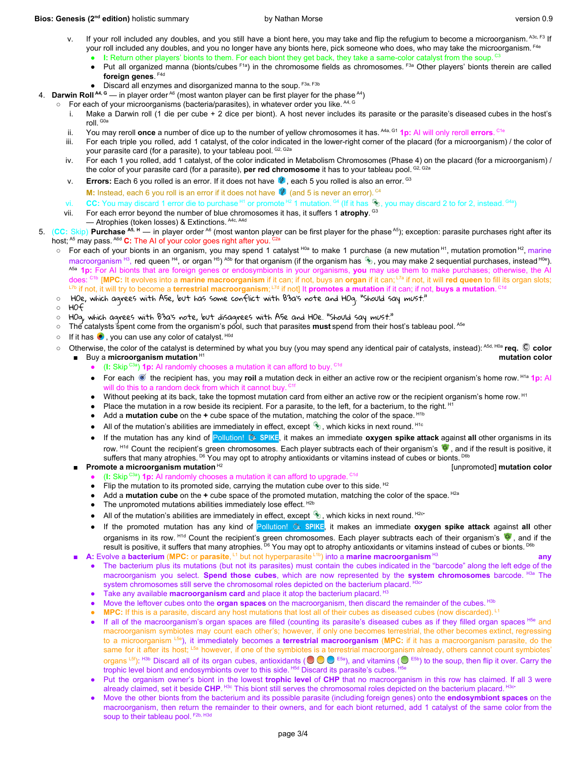### **Bios: Genesis (2<sup>nd</sup> edition)** holistic summary by Nathan Morse version 0.9

mutation<sub>color</sub>

- v. If your roll included any doubles, and you still have a biont here, you may take and flip the refugium to become a microorganism. A3c, F3 If your roll included any doubles, and you no longer have any bionts here, pick someone who does, who may take the microorganism. <sup>F4e</sup>
	- I: Return other players' bionts to them. For each biont they get back, they take a same-color catalyst from the soup.<sup>c3</sup> ● Put all organized manna (bionts/cubes F<sup>1a</sup>) in the chromosome fields as chromosomes. F<sup>3a</sup> Other players' bionts therein are called **foreign genes**. F4d
	- Discard all enzymes and disorganized manna to the soup. F3a, F3b
- 4. **Darwin Roll** <sup>A4, G</sup> in player order <sup>A6</sup> (most wanton player can be first player for the phase <sup>A4</sup>)
	- $\circ$  For each of your microorganisms (bacteria/parasites), in whatever order you like.  $^{AA}$ ,  $^{G}$ 
		- i. Make a Darwin roll (1 die per cube + 2 dice per biont). A host never includes its parasite or the parasite's diseased cubes in the host's roll. <sup>G0a</sup>
		- ii. You may reroll **once** a number of dice up to the number of yellow chromosomes it has. <sup>A4a, G1</sup> 1p: AI will only reroll errors. <sup>Cte</sup>
		- iii. For each triple you rolled, add 1 catalyst, of the color indicated in the lower-right corner of the placard (for a microorganism) / the color of your parasite card (for a parasite), to your tableau pool. <sup>G2, G2a</sup>
		- iv. For each 1 you rolled, add 1 catalyst, of the color indicated in Metabolism Chromosomes (Phase 4) on the placard (for a microorganism) / the color of your parasite card (for a parasite), **per red chromosome** it has to your tableau pool. G2, G2a
		- v. **Errors:** Each 6 you rolled is an error. If it does not have  $\blacksquare$ , each 5 you rolled is also an error. <sup>G3</sup>
			- **M:** Instead, each 6 you roll is an error if it does not have  $\bullet$  (and 5 is never an error). <sup> $CA$ </sup>
		- vi. CC: You may discard 1 error die to purchase <sup>H1</sup> or promote <sup>H2</sup> 1 mutation. <sup>G4</sup> (If it has <sup>46</sup>), you may discard 2 to for 2, instead. <sup>G4a</sup>)
		- vii. For each error beyond the number of blue chromosomes it has, it suffers 1 **atrophy**. <sup>G3</sup>
			- Atrophies (token losses) & Extinctions. A4c, A4d
- 5. (CC: Skip) Purchase <sup>A5, H</sup> in player order <sup>A6</sup> (most wanton player can be first player for the phase <sup>A5</sup>); exception: parasite purchases right after its host; <sup>A5</sup> may pass. <sup>A6d</sup> C: The AI of your color goes right after you. <sup>C2a</sup>
	- For each of your bionts in an organism, you may spend 1 catalyst <sup>H0a</sup> to make 1 purchase (a new mutation<sup> H1</sup>, mutation promotion <sup>H2</sup>, marine macroorganism <sup>нз</sup>, red queen <sup>н4</sup>, or organ <sup>н5</sup>) <sup>A5b</sup> for that organism (if the organism has \$, you may make 2 sequential purchases, instead <sup>ное</sup>). A5a **1p:** For AI bionts that are foreign genes or endosymbionts in your organisms, **you** may use them to make purchases; otherwise, the AI does: C1b [**MPC:** It evolves into a **marine macroorganism** if it can; if not, buys an **organ** if it can; L7a if not, it will **red queen** to fill its organ slots; <sup>L7b</sup> if not, it will try to become a **terrestrial macroorganism**; <sup>L7d</sup> if not] It **promotes a mutation** if it can; if not, **buys a mutation**. <sup>C1d</sup>
	- H0e, which agrees with A5e, but has some conflict with B3a's note and H0g. "Should say must."
	- H0f
	- H0g, which agrees with B3a's note, but disagrees with A5e and H0e. "Should say must."
	- The catalysts spent come from the organism's pool, such that parasites **must** spend from their host's tableau pool. <sup>A5e</sup>
	- $\circ$  If it has  $\bullet$ , you can use any color of catalyst. Hod
	- Otherwise, the color of the catalyst is determined by what you buy (you may spend any identical pair of catalysts, instead): A5d, H0a **req. color**
	- Buy a **microorganism mutation**<sup>H1</sup>
		- (I: Skip<sup>c3a</sup>) **1p:** AI randomly chooses a mutation it can afford to buy.<sup>c1d</sup>
		- For each <sup>■</sup> the recipient has, you may roil a mutation deck in either an active row or the recipient organism's home row. <sup>H1a</sup> 1p: AI will do this to a random deck from which it cannot buy. C1f
		- Without peeking at its back, take the topmost mutation card from either an active row or the recipient organism's home row. <sup>H1</sup>
		- Place the mutation in a row beside its recipient. For a parasite, to the left, for a bacterium, to the right. <sup>H1</sup>
		- Add a **mutation cube** on the + cube space of the mutation, matching the color of the space. <sup>H1b</sup>
		- All of the mutation's abilities are immediately in effect, except  $\bullet$ , which kicks in next round. <sup>Hic</sup>
		- If the mutation has any kind of Pollution! **SPIKE**, it makes an immediate **oxygen spike attack** against **all** other organisms in its row. <sup>H1d</sup> Count the recipient's green chromosomes. Each player subtracts each of their organism's  $\bullet$ , and if the result is positive, it suffers that many atrophies. <sup>D6</sup> You may opt to atrophy antioxidants or vitamins instead of cubes or bionts. <sup>D6b</sup>
		- **Promote a microorganism mutation**<sup>H2</sup> [unpromoted] **mutation color**
			- (I: Skip<sup>c3a</sup>) **1p:** AI randomly chooses a mutation it can afford to upgrade. <sup>C1d</sup>
			- Flip the mutation to its promoted side, carrying the mutation cube over to this side.  $^{12}$
			- Add a **mutation cube** on the **+** cube space of the promoted mutation, matching the color of the space. <sup>H2a</sup>
			- $\bullet$  The unpromoted mutations abilities immediately lose effect.  $^{H2b}$
			- All of the mutation's abilities are immediately in effect, except  $\bullet$ , which kicks in next round.  $H2cr$
			- If the promoted mutation has any kind of Pollution! **SPIKE**, it makes an immediate **oxygen spike attack** against **all** other organisms in its row. <sup>H1d</sup> Count the recipient's green chromosomes. Each player subtracts each of their organism's  $\bullet$ , and if the result is positive, it suffers that many atrophies. <sup>D6</sup> You may opt to atrophy antioxidants or vitamins instead of cubes or bionts. <sup>D6b</sup>
		- **A:** Evolve a bacterium (MPC: or parasite, <sup>L1</sup> but not hyperparasite <sup>L1b</sup>) into a marine macroorganism <sup>H3</sup> **any** 
			- The bacterium plus its mutations (but not its parasites) must contain the cubes indicated in the "barcode" along the left edge of the macroorganism you select. **Spend those cubes**, which are now represented by the **system chromosomes** barcode. H3a The system chromosomes still serve the chromosomal roles depicted on the bacterium placard. H3c•
			- Take any available **macroorganism card** and place it atop the bacterium placard. <sup>H3</sup>
			- Move the leftover cubes onto the **organ spaces** on the macroorganism, then discard the remainder of the cubes. <sup>H3b</sup>
			- MPC: If this is a parasite, discard any host mutations that lost all of their cubes as diseased cubes (now discarded). <sup>L1</sup>
			- If all of the macroorganism's organ spaces are filled (counting its parasite's diseased cubes as if they filled organ spaces <sup>H5e</sup> and macroorganism symbiotes may count each other's; however, if only one becomes terrestrial, the other becomes extinct, regressing to a microorganism L5e ), it immediately becomes a **terrestrial macroorganism** (**MPC:** if it has a macroorganism parasite, do the same for it after its host; <sup>L5a</sup> however, if one of the symbiotes is a terrestrial macroorganism already, others cannot count symbiotes' organs L5f): H3b Discard all of its organ cubes, antioxidants ( $\bigcirc \bigcirc \bigcirc$  E5a), and vitamins ( $\bigcirc$  E5b) to the soup, then flip it over. Carry the trophic level biont and endosymbionts over to this side. <sup>H5d</sup> Discard its parasite's cubes. <sup>H5e</sup>
			- Put the organism owner's biont in the lowest *trophic* level of CHP that no macroorganism in this row has claimed. If all 3 were already claimed, set it beside CHP. <sup>H3c</sup> This biont still serves the chromosomal roles depicted on the bacterium placard. <sup>H3c•</sup>
			- Move the other bionts from the bacterium and its possible parasite (including foreign genes) onto the **endosymbiont spaces** on the macroorganism, then return the remainder to their owners, and for each biont returned, add 1 catalyst of the same color from the soup to their tableau pool. F2b, H3d